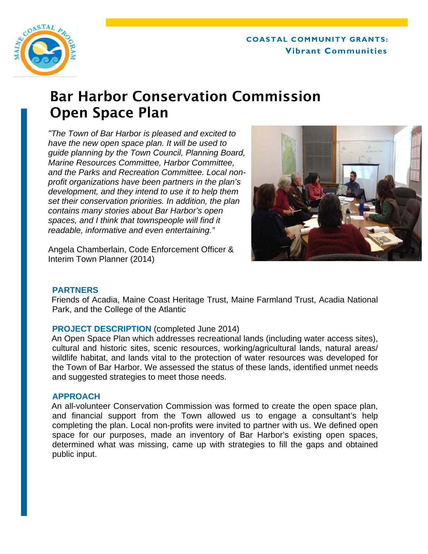# **COASTAL COMMUNITY GRANTS: Vibrant Communities**



# Bar Harbor Conservation Commission Open Space Plan

*"The Town of Bar Harbor is pleased and excited to have the new open space plan. It will be used to guide planning by the Town Council, Planning Board, Marine Resources Committee, Harbor Committee, and the Parks and Recreation Committee. Local nonprofit organizations have been partners in the plan's development, and they intend to use it to help them set their conservation priorities. In addition, the plan contains many stories about Bar Harbor's open spaces, and I think that townspeople will find it readable, informative and even entertaining."* 



Angela Chamberlain, Code Enforcement Officer & Interim Town Planner (2014)

# **PARTNERS**

Friends of Acadia, Maine Coast Heritage Trust, Maine Farmland Trust, Acadia National Park, and the College of the Atlantic

# **PROJECT DESCRIPTION** (completed June 2014)

An Open Space Plan which addresses recreational lands (including water access sites), cultural and historic sites, scenic resources, working/agricultural lands, natural areas/ wildlife habitat, and lands vital to the protection of water resources was developed for the Town of Bar Harbor. We assessed the status of these lands, identified unmet needs and suggested strategies to meet those needs.

# **APPROACH**

An all-volunteer Conservation Commission was formed to create the open space plan, and financial support from the Town allowed us to engage a consultant's help completing the plan. Local non-profits were invited to partner with us. We defined open space for our purposes, made an inventory of Bar Harbor's existing open spaces, determined what was missing, came up with strategies to fill the gaps and obtained public input.